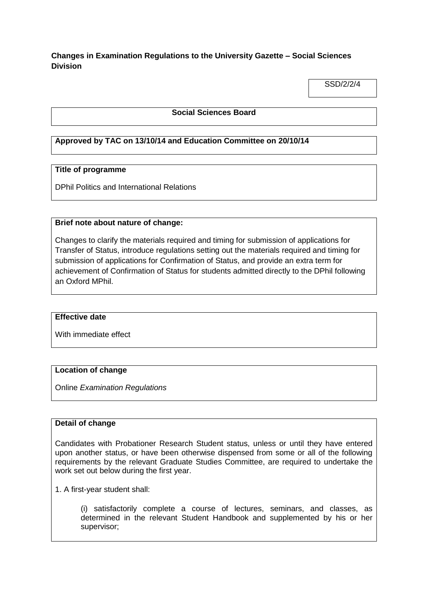**Changes in Examination Regulations to the University Gazette – Social Sciences Division**

SSD/2/2/4

## **Social Sciences Board**

## **Approved by TAC on 13/10/14 and Education Committee on 20/10/14**

## **Title of programme**

DPhil Politics and International Relations

## **Brief note about nature of change:**

Changes to clarify the materials required and timing for submission of applications for Transfer of Status, introduce regulations setting out the materials required and timing for submission of applications for Confirmation of Status, and provide an extra term for achievement of Confirmation of Status for students admitted directly to the DPhil following an Oxford MPhil.

#### **Effective date**

With immediate effect

## **Location of change**

Online *Examination Regulations*

#### **Detail of change**

Candidates with Probationer Research Student status, unless or until they have entered upon another status, or have been otherwise dispensed from some or all of the following requirements by the relevant Graduate Studies Committee, are required to undertake the work set out below during the first year.

1. A first-year student shall:

(i) satisfactorily complete a course of lectures, seminars, and classes, as determined in the relevant Student Handbook and supplemented by his or her supervisor;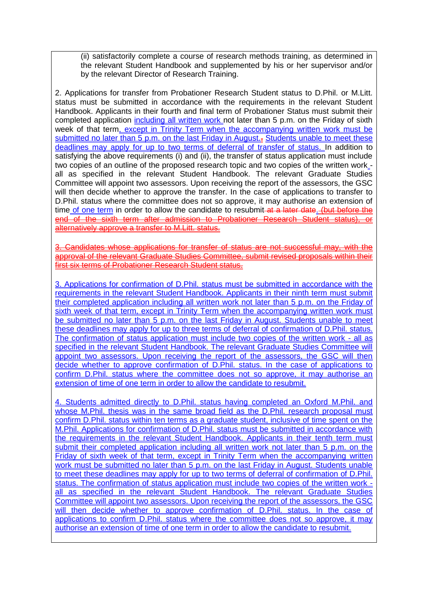(ii) satisfactorily complete a course of research methods training, as determined in the relevant Student Handbook and supplemented by his or her supervisor and/or by the relevant Director of Research Training.

2. Applications for transfer from Probationer Research Student status to D.Phil. or M.Litt. status must be submitted in accordance with the requirements in the relevant Student Handbook. Applicants in their fourth and final term of Probationer Status must submit their completed application including all written work not later than 5 p.m. on the Friday of sixth week of that term, except in Trinity Term when the accompanying written work must be submitted no later than 5 p.m. on the last Friday in August.- Students unable to meet these deadlines may apply for up to two terms of deferral of transfer of status. In addition to satisfying the above requirements (i) and (ii), the transfer of status application must include two copies of an outline of the proposed research topic and two copies of the written work all as specified in the relevant Student Handbook. The relevant Graduate Studies Committee will appoint two assessors. Upon receiving the report of the assessors, the GSC will then decide whether to approve the transfer. In the case of applications to transfer to D.Phil. status where the committee does not so approve, it may authorise an extension of time of one term in order to allow the candidate to resubmit at a later date. (but before the end of the sixth term after admission to Probationer Research Student status), or alternatively approve a transfer to M.Litt. status.

3. Candidates whose applications for transfer of status are not successful may, with the approval of the relevant Graduate Studies Committee, submit revised proposals within their first six terms of Probationer Research Student status.

3. Applications for confirmation of D.Phil. status must be submitted in accordance with the requirements in the relevant Student Handbook. Applicants in their ninth term must submit their completed application including all written work not later than 5 p.m. on the Friday of sixth week of that term, except in Trinity Term when the accompanying written work must be submitted no later than 5 p.m. on the last Friday in August. Students unable to meet these deadlines may apply for up to three terms of deferral of confirmation of D.Phil. status. The confirmation of status application must include two copies of the written work - all as specified in the relevant Student Handbook. The relevant Graduate Studies Committee will appoint two assessors. Upon receiving the report of the assessors, the GSC will then decide whether to approve confirmation of D.Phil. status. In the case of applications to confirm D.Phil. status where the committee does not so approve, it may authorise an extension of time of one term in order to allow the candidate to resubmit.

4. Students admitted directly to D.Phil. status having completed an Oxford M.Phil. and whose M.Phil. thesis was in the same broad field as the D.Phil. research proposal must confirm D.Phil. status within ten terms as a graduate student, inclusive of time spent on the M.Phil. Applications for confirmation of D.Phil. status must be submitted in accordance with the requirements in the relevant Student Handbook. Applicants in their tenth term must submit their completed application including all written work not later than 5 p.m. on the Friday of sixth week of that term, except in Trinity Term when the accompanying written work must be submitted no later than 5 p.m. on the last Friday in August. Students unable to meet these deadlines may apply for up to two terms of deferral of confirmation of D.Phil. status. The confirmation of status application must include two copies of the written work all as specified in the relevant Student Handbook. The relevant Graduate Studies Committee will appoint two assessors. Upon receiving the report of the assessors, the GSC will then decide whether to approve confirmation of D.Phil. status. In the case of applications to confirm D.Phil. status where the committee does not so approve, it may authorise an extension of time of one term in order to allow the candidate to resubmit.